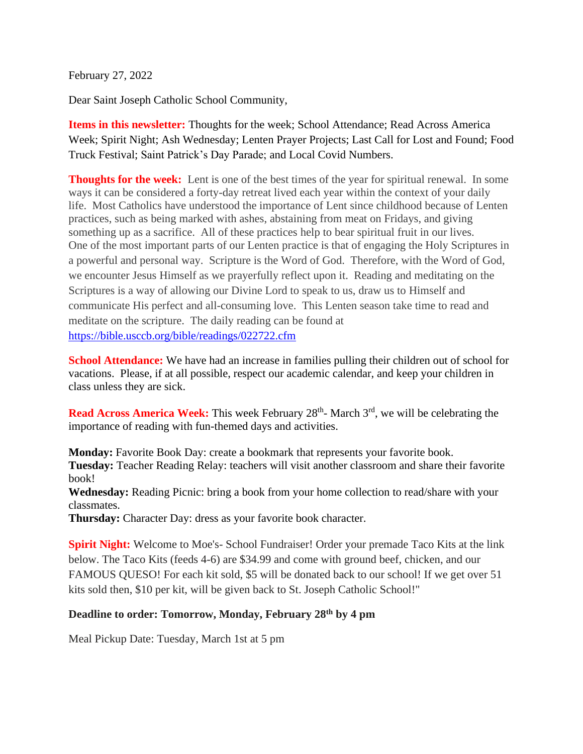February 27, 2022

Dear Saint Joseph Catholic School Community,

**Items in this newsletter:** Thoughts for the week; School Attendance; Read Across America Week; Spirit Night; Ash Wednesday; Lenten Prayer Projects; Last Call for Lost and Found; Food Truck Festival; Saint Patrick's Day Parade; and Local Covid Numbers.

**Thoughts for the week:** Lent is one of the best times of the year for spiritual renewal. In some ways it can be considered a forty-day retreat lived each year within the context of your daily life. Most Catholics have understood the importance of Lent since childhood because of Lenten practices, such as being marked with ashes, abstaining from meat on Fridays, and giving something up as a sacrifice. All of these practices help to bear spiritual fruit in our lives. One of the most important parts of our Lenten practice is that of engaging the Holy Scriptures in a powerful and personal way. Scripture is the Word of God. Therefore, with the Word of God, we encounter Jesus Himself as we prayerfully reflect upon it. Reading and meditating on the Scriptures is a way of allowing our Divine Lord to speak to us, draw us to Himself and communicate His perfect and all-consuming love. This Lenten season take time to read and meditate on the scripture. The daily reading can be found at <https://bible.usccb.org/bible/readings/022722.cfm>

**School Attendance:** We have had an increase in families pulling their children out of school for vacations. Please, if at all possible, respect our academic calendar, and keep your children in class unless they are sick.

**Read Across America Week:** This week February 28<sup>th</sup> March 3<sup>rd</sup>, we will be celebrating the importance of reading with fun-themed days and activities.

**Monday:** Favorite Book Day: create a bookmark that represents your favorite book. **Tuesday:** Teacher Reading Relay: teachers will visit another classroom and share their favorite book!

**Wednesday:** Reading Picnic: bring a book from your home collection to read/share with your classmates.

**Thursday:** Character Day: dress as your favorite book character.

**Spirit Night:** Welcome to Moe's- School Fundraiser! Order your premade Taco Kits at the link below. The Taco Kits (feeds 4-6) are \$34.99 and come with ground beef, chicken, and our FAMOUS QUESO! For each kit sold, \$5 will be donated back to our school! If we get over 51 kits sold then, \$10 per kit, will be given back to St. Joseph Catholic School!"

## **Deadline to order: Tomorrow, Monday, February 28th by 4 pm**

Meal Pickup Date: Tuesday, March 1st at 5 pm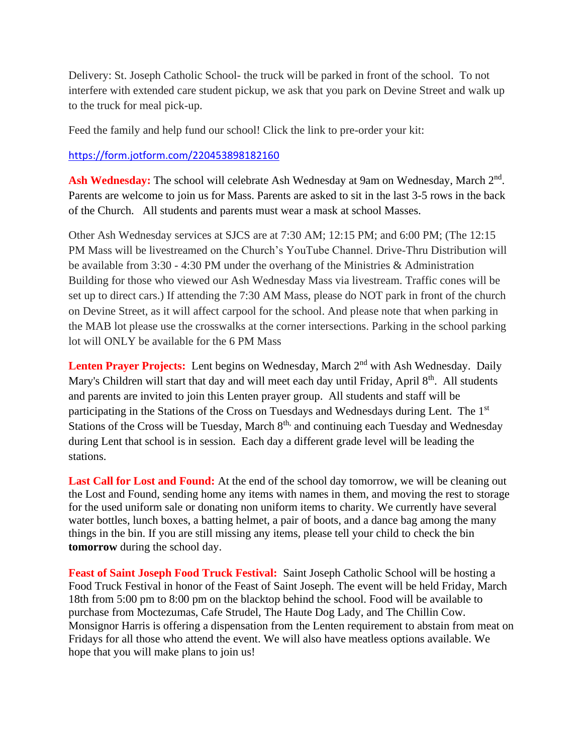Delivery: St. Joseph Catholic School- the truck will be parked in front of the school. To not interfere with extended care student pickup, we ask that you park on Devine Street and walk up to the truck for meal pick-up.

Feed the family and help fund our school! Click the link to pre-order your kit:

<https://form.jotform.com/220453898182160>

Ash Wednesday: The school will celebrate Ash Wednesday at 9am on Wednesday, March 2<sup>nd</sup>. Parents are welcome to join us for Mass. Parents are asked to sit in the last 3-5 rows in the back of the Church. All students and parents must wear a mask at school Masses.

Other Ash Wednesday services at SJCS are at 7:30 AM; 12:15 PM; and 6:00 PM; (The 12:15 PM Mass will be livestreamed on the Church's YouTube Channel. Drive-Thru Distribution will be available from 3:30 - 4:30 PM under the overhang of the Ministries & Administration Building for those who viewed our Ash Wednesday Mass via livestream. Traffic cones will be set up to direct cars.) If attending the 7:30 AM Mass, please do NOT park in front of the church on Devine Street, as it will affect carpool for the school. And please note that when parking in the MAB lot please use the crosswalks at the corner intersections. Parking in the school parking lot will ONLY be available for the 6 PM Mass

Lenten Prayer Projects: Lent begins on Wednesday, March 2<sup>nd</sup> with Ash Wednesday. Daily Mary's Children will start that day and will meet each day until Friday, April  $8<sup>th</sup>$ . All students and parents are invited to join this Lenten prayer group. All students and staff will be participating in the Stations of the Cross on Tuesdays and Wednesdays during Lent. The 1st Stations of the Cross will be Tuesday, March  $8<sup>th</sup>$ , and continuing each Tuesday and Wednesday during Lent that school is in session. Each day a different grade level will be leading the stations.

Last Call for Lost and Found: At the end of the school day tomorrow, we will be cleaning out the Lost and Found, sending home any items with names in them, and moving the rest to storage for the used uniform sale or donating non uniform items to charity. We currently have several water bottles, lunch boxes, a batting helmet, a pair of boots, and a dance bag among the many things in the bin. If you are still missing any items, please tell your child to check the bin **tomorrow** during the school day.

**Feast of Saint Joseph Food Truck Festival:** Saint Joseph Catholic School will be hosting a Food Truck Festival in honor of the Feast of Saint Joseph. The event will be held Friday, March 18th from 5:00 pm to 8:00 pm on the blacktop behind the school. Food will be available to purchase from Moctezumas, Cafe Strudel, The Haute Dog Lady, and The Chillin Cow. Monsignor Harris is offering a dispensation from the Lenten requirement to abstain from meat on Fridays for all those who attend the event. We will also have meatless options available. We hope that you will make plans to join us!